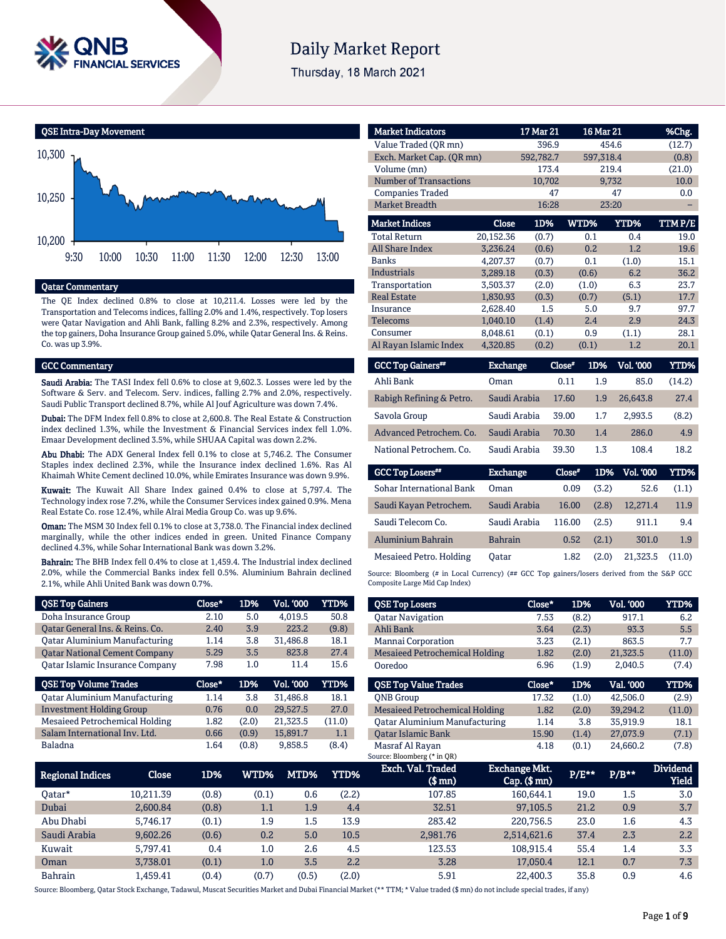

# **Daily Market Report**

Thursday, 18 March 2021



#### Qatar Commentary

The QE Index declined 0.8% to close at 10,211.4. Losses were led by the Transportation and Telecoms indices, falling 2.0% and 1.4%, respectively. Top losers were Qatar Navigation and Ahli Bank, falling 8.2% and 2.3%, respectively. Among the top gainers, Doha Insurance Group gained 5.0%, while Qatar General Ins. & Reins. Co. was up 3.9%.

#### GCC Commentary

Saudi Arabia: The TASI Index fell 0.6% to close at 9,602.3. Losses were led by the Software & Serv. and Telecom. Serv. indices, falling 2.7% and 2.0%, respectively. Saudi Public Transport declined 8.7%, while Al Jouf Agriculture was down 7.4%.

Dubai: The DFM Index fell 0.8% to close at 2,600.8. The Real Estate & Construction index declined 1.3%, while the Investment & Financial Services index fell 1.0%. Emaar Development declined 3.5%, while SHUAA Capital was down 2.2%.

Abu Dhabi: The ADX General Index fell 0.1% to close at 5,746.2. The Consumer Staples index declined 2.3%, while the Insurance index declined 1.6%. Ras Al Khaimah White Cement declined 10.0%, while Emirates Insurance was down 9.9%.

Kuwait: The Kuwait All Share Index gained 0.4% to close at 5,797.4. The Technology index rose 7.2%, while the Consumer Services index gained 0.9%. Mena Real Estate Co. rose 12.4%, while Alrai Media Group Co. was up 9.6%.

Oman: The MSM 30 Index fell 0.1% to close at 3,738.0. The Financial index declined marginally, while the other indices ended in green. United Finance Company declined 4.3%, while Sohar International Bank was down 3.2%.

Bahrain: The BHB Index fell 0.4% to close at 1,459.4. The Industrial index declined 2.0%, while the Commercial Banks index fell 0.5%. Aluminium Bahrain declined 2.1%, while Ahli United Bank was down 0.7%.

| <b>QSE Top Gainers</b>               | Close* | 1D%   | Vol. '000        | <b>YTD%</b> |
|--------------------------------------|--------|-------|------------------|-------------|
| Doha Insurance Group                 | 2.10   | 5.0   | 4,019.5          | 50.8        |
| Qatar General Ins. & Reins. Co.      | 2.40   | 3.9   | 223.2            | (9.8)       |
| <b>Qatar Aluminium Manufacturing</b> | 1.14   | 3.8   | 31,486.8         | 18.1        |
| <b>Qatar National Cement Company</b> | 5.29   | 3.5   | 823.8            | 27.4        |
| Qatar Islamic Insurance Company      | 7.98   | 1.0   | 11.4             | 15.6        |
|                                      |        |       |                  |             |
| <b>QSE Top Volume Trades</b>         | Close* | 1D%   | <b>Vol. '000</b> | YTD%        |
| <b>Qatar Aluminium Manufacturing</b> | 1.14   | 3.8   | 31,486.8         | 18.1        |
| <b>Investment Holding Group</b>      | 0.76   | 0.0   | 29,527.5         | 27.0        |
| Mesaieed Petrochemical Holding       | 1.82   | (2.0) | 21,323.5         | (11.0)      |
| Salam International Inv. Ltd.        | 0.66   | (0.9) | 15,891.7         | 1.1         |

| <b>Market Indicators</b>      |                 | 17 Mar 21 |        | 16 Mar 21               | %Chg.          |
|-------------------------------|-----------------|-----------|--------|-------------------------|----------------|
| Value Traded (QR mn)          |                 | 396.9     |        | 454.6                   | (12.7)         |
| Exch. Market Cap. (QR mn)     |                 | 592,782.7 |        | 597,318.4               | (0.8)          |
| Volume (mn)                   |                 | 173.4     |        | 219.4                   | (21.0)         |
| <b>Number of Transactions</b> |                 | 10,702    |        | 9,732                   | 10.0           |
| <b>Companies Traded</b>       |                 | 47        |        | 47                      | 0.0            |
| <b>Market Breadth</b>         |                 | 16:28     |        | 23:20                   |                |
| <b>Market Indices</b>         | Close           | 1D%       | WTD%   | YTD%                    | TTM P/E        |
| <b>Total Return</b>           | 20,152.36       | (0.7)     | 0.1    | 0.4                     | 19.0           |
| <b>All Share Index</b>        | 3,236.24        | (0.6)     | 0.2    | 1.2                     | 19.6           |
| <b>Banks</b>                  | 4.207.37        | (0.7)     | 0.1    | (1.0)                   | 15.1           |
| <b>Industrials</b>            | 3,289.18        | (0.3)     | (0.6)  | 6.2                     | 36.2           |
| Transportation                | 3.503.37        | (2.0)     | (1.0)  | 6.3                     | 23.7           |
| <b>Real Estate</b>            | 1,830.93        | (0.3)     | (0.7)  | (5.1)                   | 17.7           |
| Insurance                     | 2,628.40        | 1.5       | 5.0    | 9.7                     | 97.7           |
| <b>Telecoms</b>               | 1,040.10        | (1.4)     | 2.4    | 2.9                     | 24.3           |
| Consumer                      | 8,048.61        | (0.1)     | 0.9    | (1.1)                   | 28.1           |
| Al Rayan Islamic Index        | 4,320.85        | (0.2)     | (0.1)  | 1.2                     | 20.1           |
| <b>GCC Top Gainers</b>        | <b>Exchange</b> |           | Close* | Vol. '000<br><b>1D%</b> | YTD%           |
| Ahli Bank                     | <b>Oman</b>     |           | 0.11   | 1.9                     | 85.0<br>(14.2) |
| Rabigh Refining & Petro.      | Saudi Arabia    |           | 17.60  | 26,643.8<br>1.9         | 27.4           |
| Savola Group                  | Saudi Arabia    |           | 39.00  | 1.7<br>2.993.5          | (8.2)          |
| Advanced Petrochem, Co.       | Saudi Arabia    |           | 70.30  | 1.4                     | 286.0<br>4.9   |
| National Petrochem. Co.       | Saudi Arabia    |           | 39.30  | 1.3                     | 108.4<br>18.2  |

| <b>GCC Top Losers**</b>  | <b>Exchange</b> | Close* | 1D%   | Vol. '000 | YTD%   |
|--------------------------|-----------------|--------|-------|-----------|--------|
| Sohar International Bank | Oman            | 0.09   | (3.2) | 52.6      | (1.1)  |
| Saudi Kayan Petrochem.   | Saudi Arabia    | 16.00  | (2.8) | 12.271.4  | 11.9   |
| Saudi Telecom Co.        | Saudi Arabia    | 116.00 | (2.5) | 911.1     | 9.4    |
| Aluminium Bahrain        | <b>Bahrain</b>  | 0.52   | (2.1) | 301.0     | 1.9    |
| Mesaieed Petro. Holding  | Oatar           | 1.82   | (2.0) | 21.323.5  | (11.0) |

Source: Bloomberg (# in Local Currency) (## GCC Top gainers/losers derived from the S&P GCC Composite Large Mid Cap Index)

| <b>QSE Top Losers</b>                 | Close* | 1D%   | Vol. '000 | <b>YTD%</b> |
|---------------------------------------|--------|-------|-----------|-------------|
| <b>Qatar Navigation</b>               | 7.53   | (8.2) | 917.1     | 6.2         |
| Ahli Bank                             | 3.64   | (2.3) | 93.3      | 5.5         |
| Mannai Corporation                    | 3.23   | (2.1) | 863.5     | 7.7         |
| <b>Mesaieed Petrochemical Holding</b> | 1.82   | (2.0) | 21,323.5  | (11.0)      |
| Ooredoo                               | 6.96   | (1.9) | 2.040.5   | (7.4)       |
|                                       |        |       |           |             |
| <b>OSE Top Value Trades</b>           | Close* | 1D%   | Val. '000 | <b>YTD%</b> |
| <b>ONB</b> Group                      | 17.32  | (1.0) | 42.506.0  | (2.9)       |
| <b>Mesaieed Petrochemical Holding</b> | 1.82   | (2.0) | 39.294.2  | (11.0)      |
| <b>Qatar Aluminium Manufacturing</b>  | 1.14   | 3.8   | 35.919.9  | 18.1        |
| <b>Oatar Islamic Bank</b>             | 15.90  | (1.4) | 27,073.9  | (7.1)       |

| <b>Regional Indices</b> | Close     | 1D%   | WTD%` | MTD%  | YTD%  | Exch. Val. Traded<br>(\$ mn) | <b>Exchange Mkt.</b><br>$Cap.$ (\$ mn) | <b>P/E**</b> | $P/B***$ | <b>Dividend</b><br><b>Yield</b> |
|-------------------------|-----------|-------|-------|-------|-------|------------------------------|----------------------------------------|--------------|----------|---------------------------------|
| Oatar*                  | 10.211.39 | (0.8) | (0.1) | 0.6   | (2.2) | 107.85                       | 160.644.1                              | 19.0         | 1.5      | 3.0                             |
| Dubai                   | 2.600.84  | (0.8) | 1.1   | 1.9   | 4.4   | 32.51                        | 97,105.5                               | 21.2         | 0.9      | 3.7                             |
| Abu Dhabi               | 5.746.17  | (0.1) | 1.9   | 1.5   | 13.9  | 283.42                       | 220.756.5                              | 23.0         | 1.6      | 4.3                             |
| Saudi Arabia            | 9.602.26  | (0.6) | 0.2   | 5.0   | 10.5  | 2.981.76                     | 2,514,621.6                            | 37.4         | 2.3      | 2.2                             |
| Kuwait                  | 5.797.41  | 0.4   | 1.0   | 2.6   | 4.5   | 123.53                       | 108.915.4                              | 55.4         | 1.4      | 3.3                             |
| Oman                    | 3.738.01  | (0.1) | 1.0   | 3.5   | 2.2   | 3.28                         | 17.050.4                               | 12.1         | 0.7      | 7.3                             |
| <b>Bahrain</b>          | 1.459.41  | (0.4) | (0.7) | (0.5) | (2.0) | 5.91                         | 22.400.3                               | 35.8         | 0.9      | 4.6                             |

Source: Bloomberg, Qatar Stock Exchange, Tadawul, Muscat Securities Market and Dubai Financial Market (\*\* TTM; \* Value traded (\$ mn) do not include special trades, if any)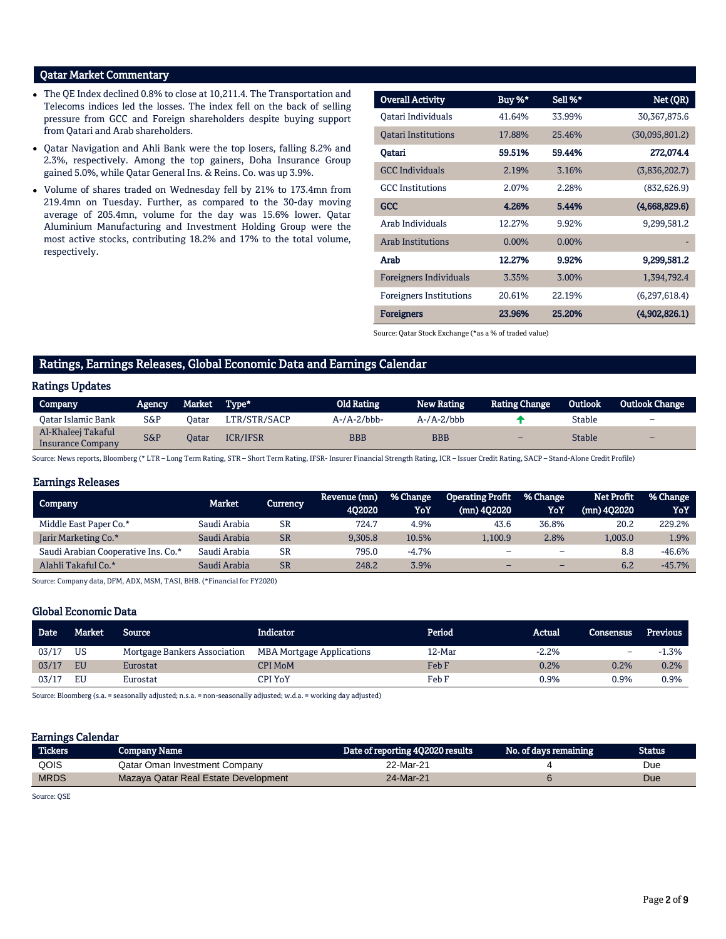## Qatar Market Commentary

- The QE Index declined 0.8% to close at 10,211.4. The Transportation and Telecoms indices led the losses. The index fell on the back of selling pressure from GCC and Foreign shareholders despite buying support from Qatari and Arab shareholders.
- Qatar Navigation and Ahli Bank were the top losers, falling 8.2% and 2.3%, respectively. Among the top gainers, Doha Insurance Group gained 5.0%, while Qatar General Ins. & Reins. Co. was up 3.9%.
- Volume of shares traded on Wednesday fell by 21% to 173.4mn from 219.4mn on Tuesday. Further, as compared to the 30-day moving average of 205.4mn, volume for the day was 15.6% lower. Qatar Aluminium Manufacturing and Investment Holding Group were the most active stocks, contributing 18.2% and 17% to the total volume, respectively.

| <b>Overall Activity</b>        | Buy %*   | Sell %*  | Net (QR)       |
|--------------------------------|----------|----------|----------------|
| Oatari Individuals             | 41.64%   | 33.99%   | 30, 367, 875.6 |
| <b>Oatari Institutions</b>     | 17.88%   | 25.46%   | (30,095,801.2) |
| Oatari                         | 59.51%   | 59.44%   | 272,074.4      |
| <b>GCC</b> Individuals         | 2.19%    | 3.16%    | (3,836,202.7)  |
| <b>GCC</b> Institutions        | 2.07%    | 2.28%    | (832, 626.9)   |
| <b>GCC</b>                     | 4.26%    | 5.44%    | (4,668,829.6)  |
| Arab Individuals               | 12.27%   | 9.92%    | 9,299,581.2    |
| Arab Institutions              | $0.00\%$ | $0.00\%$ |                |
| Arab                           | 12.27%   | 9.92%    | 9,299,581.2    |
| <b>Foreigners Individuals</b>  | 3.35%    | 3.00%    | 1,394,792.4    |
| <b>Foreigners Institutions</b> | 20.61%   | 22.19%   | (6,297,618.4)  |
| <b>Foreigners</b>              | 23.96%   | 25.20%   | (4,902,826.1)  |

Source: Qatar Stock Exchange (\*as a % of traded value)

## Ratings, Earnings Releases, Global Economic Data and Earnings Calendar

#### Ratings Updates

| Company                                 | Agency | Market Type* |                 | <b>Old Rating</b>      | <b>New Rating</b>     | <b>Rating Change</b> | <b>Outlook</b> | <b>Outlook Change</b>    |
|-----------------------------------------|--------|--------------|-----------------|------------------------|-----------------------|----------------------|----------------|--------------------------|
| Oatar Islamic Bank                      | S&P    | Jatar        | LTR/STR/SACP    | $A$ -/ $A$ -2/ $b$ bb- | $A$ -/ $A$ -2/ $b$ bb |                      | <b>Stable</b>  | $\overline{\phantom{0}}$ |
| Al-Khaleej Takaful<br>Insurance Company | S&P    | Oatar        | <b>ICR/IFSR</b> | $_{\rm BBB}$           | <b>BBB</b>            | -                    | <b>Stable</b>  | $\overline{\phantom{0}}$ |

Source: News reports, Bloomberg (\* LTR – Long Term Rating, STR – Short Term Rating, IFSR- Insurer Financial Strength Rating, ICR – Issuer Credit Rating, SACP – Stand-Alone Credit Profile)

#### Earnings Releases

| Company                             | Market       | Currency  | Revenue (mn)<br>402020 | % Change<br>YoY | <b>Operating Profit</b><br>(mn) 402020 | % Change<br>YoY          | Net Profit<br>(mn) 402020 | % Change<br>YoY |
|-------------------------------------|--------------|-----------|------------------------|-----------------|----------------------------------------|--------------------------|---------------------------|-----------------|
| Middle East Paper Co.*              | Saudi Arabia | <b>SR</b> | 724.7                  | 4.9%            | 43.6                                   | 36.8%                    | 20.2                      | 229.2%          |
| Jarir Marketing Co.*                | Saudi Arabia | <b>SR</b> | 9.305.8                | 10.5%           | 1.100.9                                | 2.8%                     | 1.003.0                   | 1.9%            |
| Saudi Arabian Cooperative Ins. Co.* | Saudi Arabia | <b>SR</b> | 795.0                  | $-4.7%$         |                                        | $\overline{\phantom{0}}$ | 8.8                       | -46.6%          |
| Alahli Takaful Co.*                 | Saudi Arabia | <b>SR</b> | 248.2                  | 3.9%            |                                        | -                        | 6.2                       | $-45.7%$        |

Source: Company data, DFM, ADX, MSM, TASI, BHB. (\*Financial for FY2020)

#### Global Economic Data

| <b>Date</b> | Market .  | <b>Source</b>                | <b>Indicator</b>                 | Period | Actual  | Consensus | Previous     |
|-------------|-----------|------------------------------|----------------------------------|--------|---------|-----------|--------------|
| 03/17       | <b>US</b> | Mortgage Bankers Association | <b>MBA Mortgage Applications</b> | 12-Mar | $-2.2%$ |           | 1.3%<br>- 11 |
| 03/17       | EU        | Eurostat                     | CPI MoM                          | Feb F  | 0.2%    | 0.2%      | 0.2%         |
| 03/17       | EU        | Eurostat                     | CPI YoY                          | Feb F  | 0.9%    | 0.9%      | $0.9\%$      |

Source: Bloomberg (s.a. = seasonally adjusted; n.s.a. = non-seasonally adjusted; w.d.a. = working day adjusted)

## Earnings Calendar

| <b>Tickers</b> | <b>Company Name</b>                  | Date of reporting 4Q2020 results | No. of days remaining | <b>Status</b> |
|----------------|--------------------------------------|----------------------------------|-----------------------|---------------|
| QOIS           | Qatar Oman Investment Company        | 22-Mar-21                        |                       | Due           |
| <b>MRDS</b>    | Mazaya Qatar Real Estate Development | 24-Mar-21                        |                       | Due           |

Source: QSE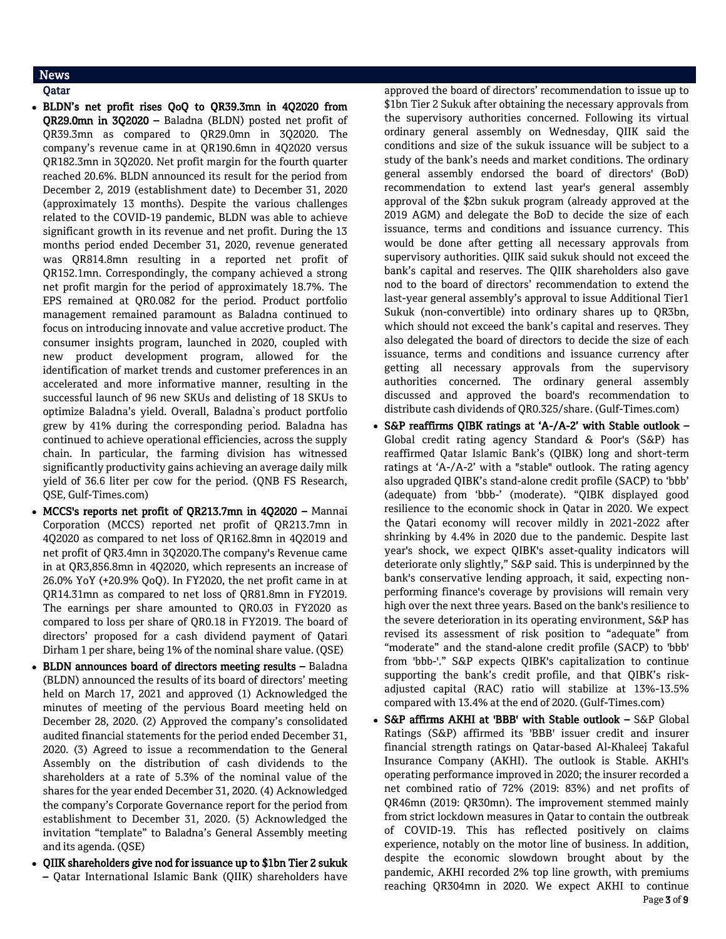## News

## Qatar

- BLDN's net profit rises QoQ to QR39.3mn in 4Q2020 from QR29.0mn in 3Q2020 – Baladna (BLDN) posted net profit of QR39.3mn as compared to QR29.0mn in 3Q2020. The company's revenue came in at QR190.6mn in 4Q2020 versus QR182.3mn in 3Q2020. Net profit margin for the fourth quarter reached 20.6%. BLDN announced its result for the period from December 2, 2019 (establishment date) to December 31, 2020 (approximately 13 months). Despite the various challenges related to the COVID-19 pandemic, BLDN was able to achieve significant growth in its revenue and net profit. During the 13 months period ended December 31, 2020, revenue generated was QR814.8mn resulting in a reported net profit of QR152.1mn. Correspondingly, the company achieved a strong net profit margin for the period of approximately 18.7%. The EPS remained at QR0.082 for the period. Product portfolio management remained paramount as Baladna continued to focus on introducing innovate and value accretive product. The consumer insights program, launched in 2020, coupled with new product development program, allowed for the identification of market trends and customer preferences in an accelerated and more informative manner, resulting in the successful launch of 96 new SKUs and delisting of 18 SKUs to optimize Baladna's yield. Overall, Baladna`s product portfolio grew by 41% during the corresponding period. Baladna has continued to achieve operational efficiencies, across the supply chain. In particular, the farming division has witnessed significantly productivity gains achieving an average daily milk yield of 36.6 liter per cow for the period. (QNB FS Research, QSE, Gulf-Times.com)
- MCCS's reports net profit of QR213.7mn in 4Q2020 Mannai Corporation (MCCS) reported net profit of QR213.7mn in 4Q2020 as compared to net loss of QR162.8mn in 4Q2019 and net profit of QR3.4mn in 3Q2020.The company's Revenue came in at QR3,856.8mn in 4Q2020, which represents an increase of 26.0% YoY (+20.9% QoQ). In FY2020, the net profit came in at QR14.31mn as compared to net loss of QR81.8mn in FY2019. The earnings per share amounted to QR0.03 in FY2020 as compared to loss per share of QR0.18 in FY2019. The board of directors' proposed for a cash dividend payment of Qatari Dirham 1 per share, being 1% of the nominal share value. (QSE)
- BLDN announces board of directors meeting results Baladna (BLDN) announced the results of its board of directors' meeting held on March 17, 2021 and approved (1) Acknowledged the minutes of meeting of the pervious Board meeting held on December 28, 2020. (2) Approved the company's consolidated audited financial statements for the period ended December 31, 2020. (3) Agreed to issue a recommendation to the General Assembly on the distribution of cash dividends to the shareholders at a rate of 5.3% of the nominal value of the shares for the year ended December 31, 2020. (4) Acknowledged the company's Corporate Governance report for the period from establishment to December 31, 2020. (5) Acknowledged the invitation "template" to Baladna's General Assembly meeting and its agenda. (QSE)
- QIIK shareholders give nod for issuance up to \$1bn Tier 2 sukuk – Qatar International Islamic Bank (QIIK) shareholders have

approved the board of directors' recommendation to issue up to \$1bn Tier 2 Sukuk after obtaining the necessary approvals from the supervisory authorities concerned. Following its virtual ordinary general assembly on Wednesday, QIIK said the conditions and size of the sukuk issuance will be subject to a study of the bank's needs and market conditions. The ordinary general assembly endorsed the board of directors' (BoD) recommendation to extend last year's general assembly approval of the \$2bn sukuk program (already approved at the 2019 AGM) and delegate the BoD to decide the size of each issuance, terms and conditions and issuance currency. This would be done after getting all necessary approvals from supervisory authorities. QIIK said sukuk should not exceed the bank's capital and reserves. The QIIK shareholders also gave nod to the board of directors' recommendation to extend the last-year general assembly's approval to issue Additional Tier1 Sukuk (non-convertible) into ordinary shares up to QR3bn, which should not exceed the bank's capital and reserves. They also delegated the board of directors to decide the size of each issuance, terms and conditions and issuance currency after getting all necessary approvals from the supervisory authorities concerned. The ordinary general assembly discussed and approved the board's recommendation to distribute cash dividends of QR0.325/share. (Gulf-Times.com)

- S&P reaffirms QIBK ratings at 'A-/A-2' with Stable outlook Global credit rating agency Standard & Poor's (S&P) has reaffirmed Qatar Islamic Bank's (QIBK) long and short-term ratings at 'A-/A-2' with a "stable" outlook. The rating agency also upgraded QIBK's stand-alone credit profile (SACP) to 'bbb' (adequate) from 'bbb-' (moderate). "QIBK displayed good resilience to the economic shock in Qatar in 2020. We expect the Qatari economy will recover mildly in 2021-2022 after shrinking by 4.4% in 2020 due to the pandemic. Despite last year's shock, we expect QIBK's asset-quality indicators will deteriorate only slightly," S&P said. This is underpinned by the bank's conservative lending approach, it said, expecting nonperforming finance's coverage by provisions will remain very high over the next three years. Based on the bank's resilience to the severe deterioration in its operating environment, S&P has revised its assessment of risk position to "adequate" from "moderate" and the stand-alone credit profile (SACP) to 'bbb' from 'bbb-'." S&P expects QIBK's capitalization to continue supporting the bank's credit profile, and that QIBK's riskadjusted capital (RAC) ratio will stabilize at 13%-13.5% compared with 13.4% at the end of 2020. (Gulf-Times.com)
- S&P affirms AKHI at 'BBB' with Stable outlook S&P Global Ratings (S&P) affirmed its 'BBB' issuer credit and insurer financial strength ratings on Qatar-based Al-Khaleej Takaful Insurance Company (AKHI). The outlook is Stable. AKHI's operating performance improved in 2020; the insurer recorded a net combined ratio of 72% (2019: 83%) and net profits of QR46mn (2019: QR30mn). The improvement stemmed mainly from strict lockdown measures in Qatar to contain the outbreak of COVID-19. This has reflected positively on claims experience, notably on the motor line of business. In addition, despite the economic slowdown brought about by the pandemic, AKHI recorded 2% top line growth, with premiums reaching QR304mn in 2020. We expect AKHI to continue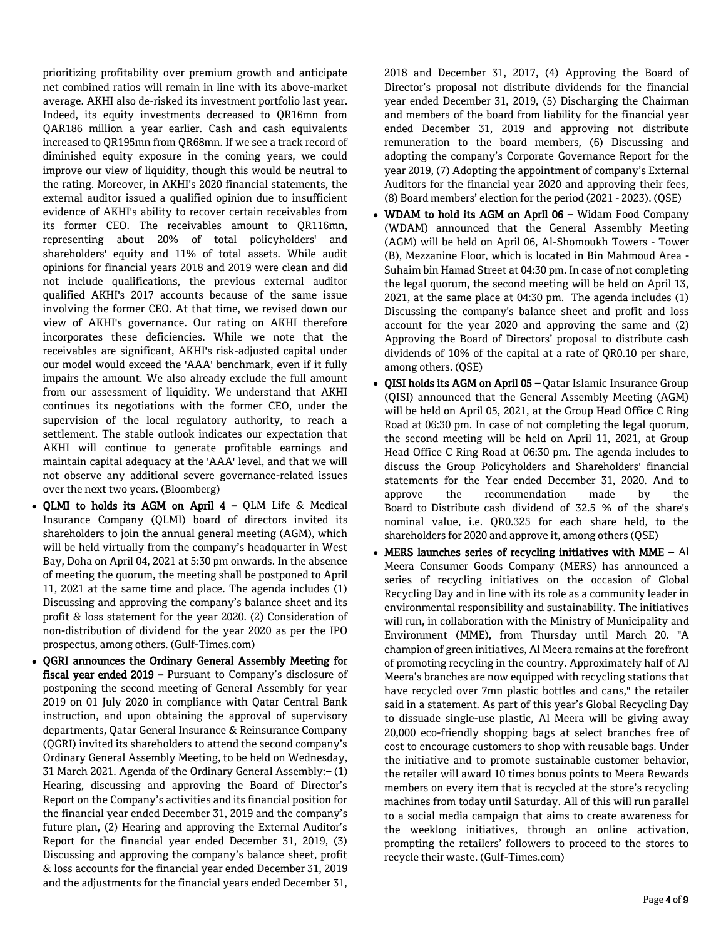prioritizing profitability over premium growth and anticipate net combined ratios will remain in line with its above-market average. AKHI also de-risked its investment portfolio last year. Indeed, its equity investments decreased to QR16mn from QAR186 million a year earlier. Cash and cash equivalents increased to QR195mn from QR68mn. If we see a track record of diminished equity exposure in the coming years, we could improve our view of liquidity, though this would be neutral to the rating. Moreover, in AKHI's 2020 financial statements, the external auditor issued a qualified opinion due to insufficient evidence of AKHI's ability to recover certain receivables from its former CEO. The receivables amount to QR116mn, representing about 20% of total policyholders' and shareholders' equity and 11% of total assets. While audit opinions for financial years 2018 and 2019 were clean and did not include qualifications, the previous external auditor qualified AKHI's 2017 accounts because of the same issue involving the former CEO. At that time, we revised down our view of AKHI's governance. Our rating on AKHI therefore incorporates these deficiencies. While we note that the receivables are significant, AKHI's risk-adjusted capital under our model would exceed the 'AAA' benchmark, even if it fully impairs the amount. We also already exclude the full amount from our assessment of liquidity. We understand that AKHI continues its negotiations with the former CEO, under the supervision of the local regulatory authority, to reach a settlement. The stable outlook indicates our expectation that AKHI will continue to generate profitable earnings and maintain capital adequacy at the 'AAA' level, and that we will not observe any additional severe governance-related issues over the next two years. (Bloomberg)

- QLMI to holds its AGM on April  $4 QLM$  Life & Medical Insurance Company (QLMI) board of directors invited its shareholders to join the annual general meeting (AGM), which will be held virtually from the company's headquarter in West Bay, Doha on April 04, 2021 at 5:30 pm onwards. In the absence of meeting the quorum, the meeting shall be postponed to April 11, 2021 at the same time and place. The agenda includes (1) Discussing and approving the company's balance sheet and its profit & loss statement for the year 2020. (2) Consideration of non-distribution of dividend for the year 2020 as per the IPO prospectus, among others. (Gulf-Times.com)
- OGRI announces the Ordinary General Assembly Meeting for fiscal year ended 2019 – Pursuant to Company's disclosure of postponing the second meeting of General Assembly for year 2019 on 01 July 2020 in compliance with Qatar Central Bank instruction, and upon obtaining the approval of supervisory departments, Qatar General Insurance & Reinsurance Company (QGRI) invited its shareholders to attend the second company's Ordinary General Assembly Meeting, to be held on Wednesday, 31 March 2021. Agenda of the Ordinary General Assembly:– (1) Hearing, discussing and approving the Board of Director's Report on the Company's activities and its financial position for the financial year ended December 31, 2019 and the company's future plan, (2) Hearing and approving the External Auditor's Report for the financial year ended December 31, 2019, (3) Discussing and approving the company's balance sheet, profit & loss accounts for the financial year ended December 31, 2019 and the adjustments for the financial years ended December 31,

2018 and December 31, 2017, (4) Approving the Board of Director's proposal not distribute dividends for the financial year ended December 31, 2019, (5) Discharging the Chairman and members of the board from liability for the financial year ended December 31, 2019 and approving not distribute remuneration to the board members, (6) Discussing and adopting the company's Corporate Governance Report for the year 2019, (7) Adopting the appointment of company's External Auditors for the financial year 2020 and approving their fees, (8) Board members' election for the period (2021 - 2023). (QSE)

- WDAM to hold its AGM on April 06 Widam Food Company (WDAM) announced that the General Assembly Meeting (AGM) will be held on April 06, Al-Shomoukh Towers - Tower (B), Mezzanine Floor, which is located in Bin Mahmoud Area - Suhaim bin Hamad Street at 04:30 pm. In case of not completing the legal quorum, the second meeting will be held on April 13, 2021, at the same place at 04:30 pm. The agenda includes (1) Discussing the company's balance sheet and profit and loss account for the year 2020 and approving the same and (2) Approving the Board of Directors' proposal to distribute cash dividends of 10% of the capital at a rate of QR0.10 per share, among others. (QSE)
- QISI holds its AGM on April 05 Qatar Islamic Insurance Group (QISI) announced that the General Assembly Meeting (AGM) will be held on April 05, 2021, at the Group Head Office C Ring Road at 06:30 pm. In case of not completing the legal quorum, the second meeting will be held on April 11, 2021, at Group Head Office C Ring Road at 06:30 pm. The agenda includes to discuss the Group Policyholders and Shareholders' financial statements for the Year ended December 31, 2020. And to approve the recommendation made by the Board to Distribute cash dividend of 32.5 % of the share's nominal value, i.e. QR0.325 for each share held, to the shareholders for 2020 and approve it, among others (QSE)
- MERS launches series of recycling initiatives with MME Al Meera Consumer Goods Company (MERS) has announced a series of recycling initiatives on the occasion of Global Recycling Day and in line with its role as a community leader in environmental responsibility and sustainability. The initiatives will run, in collaboration with the Ministry of Municipality and Environment (MME), from Thursday until March 20. "A champion of green initiatives, Al Meera remains at the forefront of promoting recycling in the country. Approximately half of Al Meera's branches are now equipped with recycling stations that have recycled over 7mn plastic bottles and cans," the retailer said in a statement. As part of this year's Global Recycling Day to dissuade single-use plastic, Al Meera will be giving away 20,000 eco-friendly shopping bags at select branches free of cost to encourage customers to shop with reusable bags. Under the initiative and to promote sustainable customer behavior, the retailer will award 10 times bonus points to Meera Rewards members on every item that is recycled at the store's recycling machines from today until Saturday. All of this will run parallel to a social media campaign that aims to create awareness for the weeklong initiatives, through an online activation, prompting the retailers' followers to proceed to the stores to recycle their waste. (Gulf-Times.com)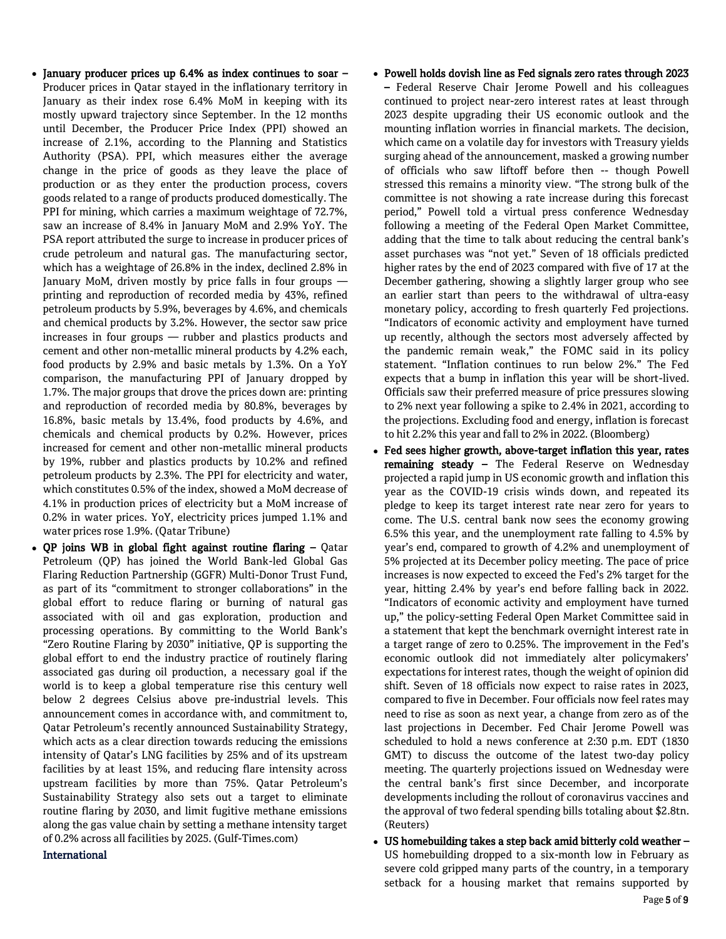- January producer prices up 6.4% as index continues to soar  $-$ Producer prices in Qatar stayed in the inflationary territory in January as their index rose 6.4% MoM in keeping with its mostly upward trajectory since September. In the 12 months until December, the Producer Price Index (PPI) showed an increase of 2.1%, according to the Planning and Statistics Authority (PSA). PPI, which measures either the average change in the price of goods as they leave the place of production or as they enter the production process, covers goods related to a range of products produced domestically. The PPI for mining, which carries a maximum weightage of 72.7%, saw an increase of 8.4% in January MoM and 2.9% YoY. The PSA report attributed the surge to increase in producer prices of crude petroleum and natural gas. The manufacturing sector, which has a weightage of 26.8% in the index, declined 2.8% in January MoM, driven mostly by price falls in four groups printing and reproduction of recorded media by 43%, refined petroleum products by 5.9%, beverages by 4.6%, and chemicals and chemical products by 3.2%. However, the sector saw price increases in four groups — rubber and plastics products and cement and other non-metallic mineral products by 4.2% each, food products by 2.9% and basic metals by 1.3%. On a YoY comparison, the manufacturing PPI of January dropped by 1.7%. The major groups that drove the prices down are: printing and reproduction of recorded media by 80.8%, beverages by 16.8%, basic metals by 13.4%, food products by 4.6%, and chemicals and chemical products by 0.2%. However, prices increased for cement and other non-metallic mineral products by 19%, rubber and plastics products by 10.2% and refined petroleum products by 2.3%. The PPI for electricity and water, which constitutes 0.5% of the index, showed a MoM decrease of 4.1% in production prices of electricity but a MoM increase of 0.2% in water prices. YoY, electricity prices jumped 1.1% and water prices rose 1.9%. (Qatar Tribune)
- QP joins WB in global fight against routine flaring Qatar Petroleum (QP) has joined the World Bank-led Global Gas Flaring Reduction Partnership (GGFR) Multi-Donor Trust Fund, as part of its "commitment to stronger collaborations" in the global effort to reduce flaring or burning of natural gas associated with oil and gas exploration, production and processing operations. By committing to the World Bank's "Zero Routine Flaring by 2030" initiative, QP is supporting the global effort to end the industry practice of routinely flaring associated gas during oil production, a necessary goal if the world is to keep a global temperature rise this century well below 2 degrees Celsius above pre-industrial levels. This announcement comes in accordance with, and commitment to, Qatar Petroleum's recently announced Sustainability Strategy, which acts as a clear direction towards reducing the emissions intensity of Qatar's LNG facilities by 25% and of its upstream facilities by at least 15%, and reducing flare intensity across upstream facilities by more than 75%. Qatar Petroleum's Sustainability Strategy also sets out a target to eliminate routine flaring by 2030, and limit fugitive methane emissions along the gas value chain by setting a methane intensity target of 0.2% across all facilities by 2025. (Gulf-Times.com)

## International

- Powell holds dovish line as Fed signals zero rates through 2023 – Federal Reserve Chair Jerome Powell and his colleagues continued to project near-zero interest rates at least through 2023 despite upgrading their US economic outlook and the mounting inflation worries in financial markets. The decision, which came on a volatile day for investors with Treasury yields surging ahead of the announcement, masked a growing number of officials who saw liftoff before then -- though Powell stressed this remains a minority view. "The strong bulk of the committee is not showing a rate increase during this forecast period," Powell told a virtual press conference Wednesday following a meeting of the Federal Open Market Committee, adding that the time to talk about reducing the central bank's asset purchases was "not yet." Seven of 18 officials predicted higher rates by the end of 2023 compared with five of 17 at the December gathering, showing a slightly larger group who see an earlier start than peers to the withdrawal of ultra-easy monetary policy, according to fresh quarterly Fed projections. "Indicators of economic activity and employment have turned up recently, although the sectors most adversely affected by the pandemic remain weak," the FOMC said in its policy statement. "Inflation continues to run below 2%." The Fed expects that a bump in inflation this year will be short-lived. Officials saw their preferred measure of price pressures slowing to 2% next year following a spike to 2.4% in 2021, according to the projections. Excluding food and energy, inflation is forecast to hit 2.2% this year and fall to 2% in 2022. (Bloomberg)
- Fed sees higher growth, above-target inflation this year, rates remaining steady - The Federal Reserve on Wednesday projected a rapid jump in US economic growth and inflation this year as the COVID-19 crisis winds down, and repeated its pledge to keep its target interest rate near zero for years to come. The U.S. central bank now sees the economy growing 6.5% this year, and the unemployment rate falling to 4.5% by year's end, compared to growth of 4.2% and unemployment of 5% projected at its December policy meeting. The pace of price increases is now expected to exceed the Fed's 2% target for the year, hitting 2.4% by year's end before falling back in 2022. "Indicators of economic activity and employment have turned up," the policy-setting Federal Open Market Committee said in a statement that kept the benchmark overnight interest rate in a target range of zero to 0.25%. The improvement in the Fed's economic outlook did not immediately alter policymakers' expectations for interest rates, though the weight of opinion did shift. Seven of 18 officials now expect to raise rates in 2023, compared to five in December. Four officials now feel rates may need to rise as soon as next year, a change from zero as of the last projections in December. Fed Chair Jerome Powell was scheduled to hold a news conference at 2:30 p.m. EDT (1830 GMT) to discuss the outcome of the latest two-day policy meeting. The quarterly projections issued on Wednesday were the central bank's first since December, and incorporate developments including the rollout of coronavirus vaccines and the approval of two federal spending bills totaling about \$2.8tn. (Reuters)
- US homebuilding takes a step back amid bitterly cold weather US homebuilding dropped to a six-month low in February as severe cold gripped many parts of the country, in a temporary setback for a housing market that remains supported by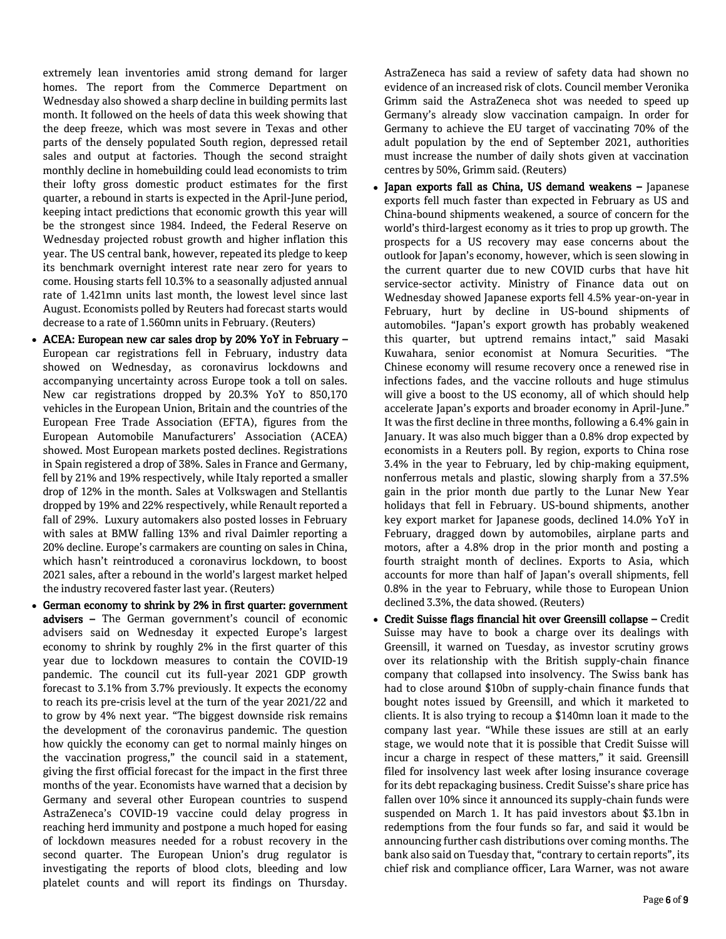extremely lean inventories amid strong demand for larger homes. The report from the Commerce Department on Wednesday also showed a sharp decline in building permits last month. It followed on the heels of data this week showing that the deep freeze, which was most severe in Texas and other parts of the densely populated South region, depressed retail sales and output at factories. Though the second straight monthly decline in homebuilding could lead economists to trim their lofty gross domestic product estimates for the first quarter, a rebound in starts is expected in the April-June period, keeping intact predictions that economic growth this year will be the strongest since 1984. Indeed, the Federal Reserve on Wednesday projected robust growth and higher inflation this year. The US central bank, however, repeated its pledge to keep its benchmark overnight interest rate near zero for years to come. Housing starts fell 10.3% to a seasonally adjusted annual rate of 1.421mn units last month, the lowest level since last August. Economists polled by Reuters had forecast starts would decrease to a rate of 1.560mn units in February. (Reuters)

- ACEA: European new car sales drop by 20% YoY in February European car registrations fell in February, industry data showed on Wednesday, as coronavirus lockdowns and accompanying uncertainty across Europe took a toll on sales. New car registrations dropped by 20.3% YoY to 850,170 vehicles in the European Union, Britain and the countries of the European Free Trade Association (EFTA), figures from the European Automobile Manufacturers' Association (ACEA) showed. Most European markets posted declines. Registrations in Spain registered a drop of 38%. Sales in France and Germany, fell by 21% and 19% respectively, while Italy reported a smaller drop of 12% in the month. Sales at Volkswagen and Stellantis dropped by 19% and 22% respectively, while Renault reported a fall of 29%. Luxury automakers also posted losses in February with sales at BMW falling 13% and rival Daimler reporting a 20% decline. Europe's carmakers are counting on sales in China, which hasn't reintroduced a coronavirus lockdown, to boost 2021 sales, after a rebound in the world's largest market helped the industry recovered faster last year. (Reuters)
- German economy to shrink by 2% in first quarter: government advisers - The German government's council of economic advisers said on Wednesday it expected Europe's largest economy to shrink by roughly 2% in the first quarter of this year due to lockdown measures to contain the COVID-19 pandemic. The council cut its full-year 2021 GDP growth forecast to 3.1% from 3.7% previously. It expects the economy to reach its pre-crisis level at the turn of the year 2021/22 and to grow by 4% next year. "The biggest downside risk remains the development of the coronavirus pandemic. The question how quickly the economy can get to normal mainly hinges on the vaccination progress," the council said in a statement, giving the first official forecast for the impact in the first three months of the year. Economists have warned that a decision by Germany and several other European countries to suspend AstraZeneca's COVID-19 vaccine could delay progress in reaching herd immunity and postpone a much hoped for easing of lockdown measures needed for a robust recovery in the second quarter. The European Union's drug regulator is investigating the reports of blood clots, bleeding and low platelet counts and will report its findings on Thursday.

AstraZeneca has said a review of safety data had shown no evidence of an increased risk of clots. Council member Veronika Grimm said the AstraZeneca shot was needed to speed up Germany's already slow vaccination campaign. In order for Germany to achieve the EU target of vaccinating 70% of the adult population by the end of September 2021, authorities must increase the number of daily shots given at vaccination centres by 50%, Grimm said. (Reuters)

- Japan exports fall as China, US demand weakens Japanese exports fell much faster than expected in February as US and China-bound shipments weakened, a source of concern for the world's third-largest economy as it tries to prop up growth. The prospects for a US recovery may ease concerns about the outlook for Japan's economy, however, which is seen slowing in the current quarter due to new COVID curbs that have hit service-sector activity. Ministry of Finance data out on Wednesday showed Japanese exports fell 4.5% year-on-year in February, hurt by decline in US-bound shipments of automobiles. "Japan's export growth has probably weakened this quarter, but uptrend remains intact," said Masaki Kuwahara, senior economist at Nomura Securities. "The Chinese economy will resume recovery once a renewed rise in infections fades, and the vaccine rollouts and huge stimulus will give a boost to the US economy, all of which should help accelerate Japan's exports and broader economy in April-June." It was the first decline in three months, following a 6.4% gain in January. It was also much bigger than a 0.8% drop expected by economists in a Reuters poll. By region, exports to China rose 3.4% in the year to February, led by chip-making equipment, nonferrous metals and plastic, slowing sharply from a 37.5% gain in the prior month due partly to the Lunar New Year holidays that fell in February. US-bound shipments, another key export market for Japanese goods, declined 14.0% YoY in February, dragged down by automobiles, airplane parts and motors, after a 4.8% drop in the prior month and posting a fourth straight month of declines. Exports to Asia, which accounts for more than half of Japan's overall shipments, fell 0.8% in the year to February, while those to European Union declined 3.3%, the data showed. (Reuters)
- Credit Suisse flags financial hit over Greensill collapse Credit Suisse may have to book a charge over its dealings with Greensill, it warned on Tuesday, as investor scrutiny grows over its relationship with the British supply-chain finance company that collapsed into insolvency. The Swiss bank has had to close around \$10bn of supply-chain finance funds that bought notes issued by Greensill, and which it marketed to clients. It is also trying to recoup a \$140mn loan it made to the company last year. "While these issues are still at an early stage, we would note that it is possible that Credit Suisse will incur a charge in respect of these matters," it said. Greensill filed for insolvency last week after losing insurance coverage for its debt repackaging business. Credit Suisse's share price has fallen over 10% since it announced its supply-chain funds were suspended on March 1. It has paid investors about \$3.1bn in redemptions from the four funds so far, and said it would be announcing further cash distributions over coming months. The bank also said on Tuesday that, "contrary to certain reports", its chief risk and compliance officer, Lara Warner, was not aware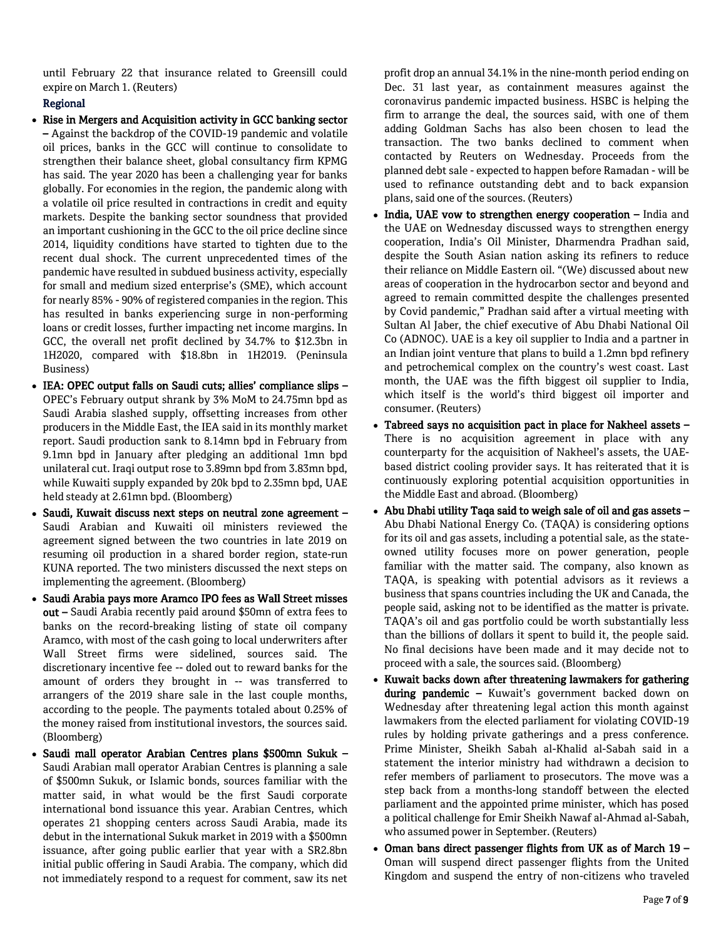until February 22 that insurance related to Greensill could expire on March 1. (Reuters)

## Regional

- Rise in Mergers and Acquisition activity in GCC banking sector – Against the backdrop of the COVID-19 pandemic and volatile oil prices, banks in the GCC will continue to consolidate to strengthen their balance sheet, global consultancy firm KPMG has said. The year 2020 has been a challenging year for banks globally. For economies in the region, the pandemic along with a volatile oil price resulted in contractions in credit and equity markets. Despite the banking sector soundness that provided an important cushioning in the GCC to the oil price decline since 2014, liquidity conditions have started to tighten due to the recent dual shock. The current unprecedented times of the pandemic have resulted in subdued business activity, especially for small and medium sized enterprise's (SME), which account for nearly 85% - 90% of registered companies in the region. This has resulted in banks experiencing surge in non-performing loans or credit losses, further impacting net income margins. In GCC, the overall net profit declined by 34.7% to \$12.3bn in 1H2020, compared with \$18.8bn in 1H2019. (Peninsula Business)
- IEA: OPEC output falls on Saudi cuts; allies' compliance slips OPEC's February output shrank by 3% MoM to 24.75mn bpd as Saudi Arabia slashed supply, offsetting increases from other producers in the Middle East, the IEA said in its monthly market report. Saudi production sank to 8.14mn bpd in February from 9.1mn bpd in January after pledging an additional 1mn bpd unilateral cut. Iraqi output rose to 3.89mn bpd from 3.83mn bpd, while Kuwaiti supply expanded by 20k bpd to 2.35mn bpd, UAE held steady at 2.61mn bpd. (Bloomberg)
- Saudi, Kuwait discuss next steps on neutral zone agreement Saudi Arabian and Kuwaiti oil ministers reviewed the agreement signed between the two countries in late 2019 on resuming oil production in a shared border region, state-run KUNA reported. The two ministers discussed the next steps on implementing the agreement. (Bloomberg)
- Saudi Arabia pays more Aramco IPO fees as Wall Street misses out – Saudi Arabia recently paid around \$50mn of extra fees to banks on the record-breaking listing of state oil company Aramco, with most of the cash going to local underwriters after Wall Street firms were sidelined, sources said. The discretionary incentive fee -- doled out to reward banks for the amount of orders they brought in -- was transferred to arrangers of the 2019 share sale in the last couple months, according to the people. The payments totaled about 0.25% of the money raised from institutional investors, the sources said. (Bloomberg)
- Saudi mall operator Arabian Centres plans \$500mn Sukuk Saudi Arabian mall operator Arabian Centres is planning a sale of \$500mn Sukuk, or Islamic bonds, sources familiar with the matter said, in what would be the first Saudi corporate international bond issuance this year. Arabian Centres, which operates 21 shopping centers across Saudi Arabia, made its debut in the international Sukuk market in 2019 with a \$500mn issuance, after going public earlier that year with a SR2.8bn initial public offering in Saudi Arabia. The company, which did not immediately respond to a request for comment, saw its net

profit drop an annual 34.1% in the nine-month period ending on Dec. 31 last year, as containment measures against the coronavirus pandemic impacted business. HSBC is helping the firm to arrange the deal, the sources said, with one of them adding Goldman Sachs has also been chosen to lead the transaction. The two banks declined to comment when contacted by Reuters on Wednesday. Proceeds from the planned debt sale - expected to happen before Ramadan - will be used to refinance outstanding debt and to back expansion plans, said one of the sources. (Reuters)

- India, UAE vow to strengthen energy cooperation India and the UAE on Wednesday discussed ways to strengthen energy cooperation, India's Oil Minister, Dharmendra Pradhan said, despite the South Asian nation asking its refiners to reduce their reliance on Middle Eastern oil. "(We) discussed about new areas of cooperation in the hydrocarbon sector and beyond and agreed to remain committed despite the challenges presented by Covid pandemic," Pradhan said after a virtual meeting with Sultan Al Jaber, the chief executive of Abu Dhabi National Oil Co (ADNOC). UAE is a key oil supplier to India and a partner in an Indian joint venture that plans to build a 1.2mn bpd refinery and petrochemical complex on the country's west coast. Last month, the UAE was the fifth biggest oil supplier to India, which itself is the world's third biggest oil importer and consumer. (Reuters)
- Tabreed says no acquisition pact in place for Nakheel assets There is no acquisition agreement in place with any counterparty for the acquisition of Nakheel's assets, the UAEbased district cooling provider says. It has reiterated that it is continuously exploring potential acquisition opportunities in the Middle East and abroad. (Bloomberg)
- Abu Dhabi utility Taqa said to weigh sale of oil and gas assets Abu Dhabi National Energy Co. (TAQA) is considering options for its oil and gas assets, including a potential sale, as the stateowned utility focuses more on power generation, people familiar with the matter said. The company, also known as TAQA, is speaking with potential advisors as it reviews a business that spans countries including the UK and Canada, the people said, asking not to be identified as the matter is private. TAQA's oil and gas portfolio could be worth substantially less than the billions of dollars it spent to build it, the people said. No final decisions have been made and it may decide not to proceed with a sale, the sources said. (Bloomberg)
- Kuwait backs down after threatening lawmakers for gathering during pandemic - Kuwait's government backed down on Wednesday after threatening legal action this month against lawmakers from the elected parliament for violating COVID-19 rules by holding private gatherings and a press conference. Prime Minister, Sheikh Sabah al-Khalid al-Sabah said in a statement the interior ministry had withdrawn a decision to refer members of parliament to prosecutors. The move was a step back from a months-long standoff between the elected parliament and the appointed prime minister, which has posed a political challenge for Emir Sheikh Nawaf al-Ahmad al-Sabah, who assumed power in September. (Reuters)
- Oman bans direct passenger flights from UK as of March 19 Oman will suspend direct passenger flights from the United Kingdom and suspend the entry of non-citizens who traveled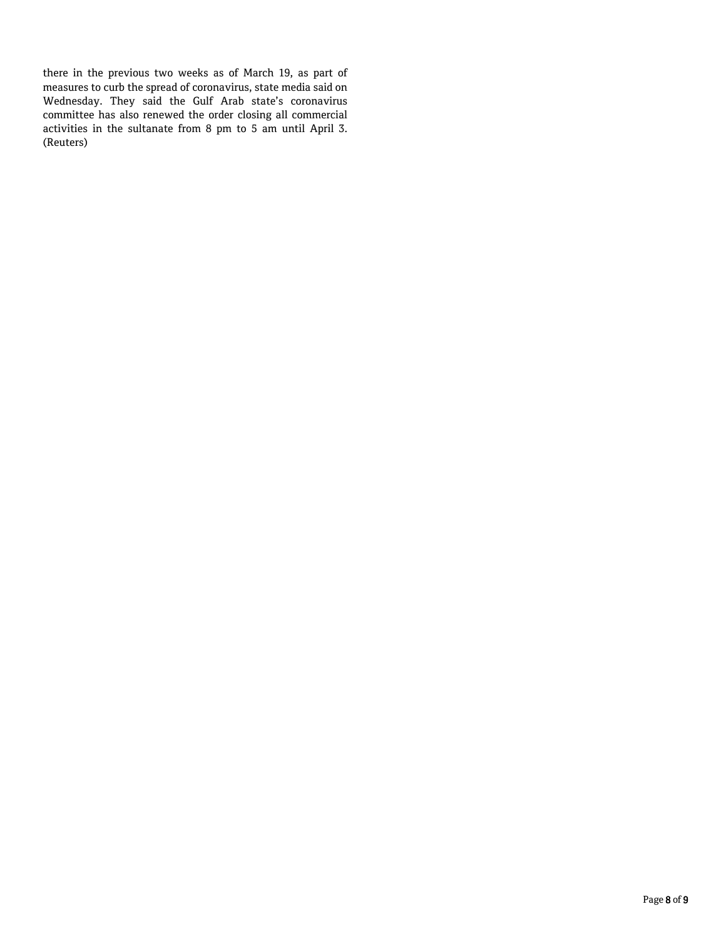there in the previous two weeks as of March 19, as part of measures to curb the spread of coronavirus, state media said on Wednesday. They said the Gulf Arab state's coronavirus committee has also renewed the order closing all commercial activities in the sultanate from 8 pm to 5 am until April 3. (Reuters)